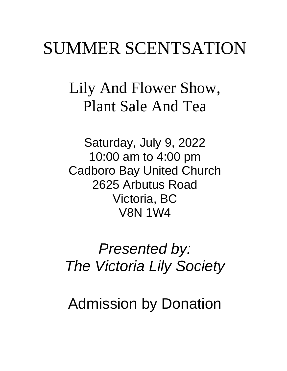# SUMMER SCENTSATION

Lily And Flower Show, Plant Sale And Tea

Saturday, July 9, 2022 10:00 am to 4:00 pm Cadboro Bay United Church 2625 Arbutus Road Victoria, BC V8N 1W4

*Presented by: The Victoria Lily Society*

Admission by Donation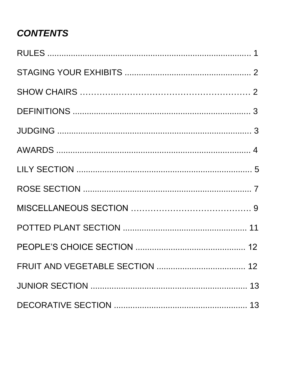# **CONTENTS**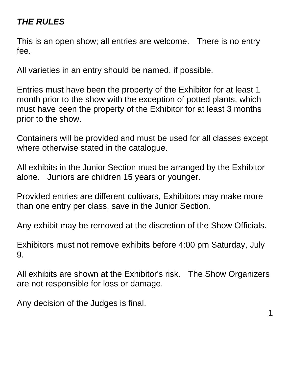## *THE RULES*

This is an open show; all entries are welcome. There is no entry fee.

All varieties in an entry should be named, if possible.

Entries must have been the property of the Exhibitor for at least 1 month prior to the show with the exception of potted plants, which must have been the property of the Exhibitor for at least 3 months prior to the show.

Containers will be provided and must be used for all classes except where otherwise stated in the catalogue.

All exhibits in the Junior Section must be arranged by the Exhibitor alone. Juniors are children 15 years or younger.

Provided entries are different cultivars, Exhibitors may make more than one entry per class, save in the Junior Section.

Any exhibit may be removed at the discretion of the Show Officials.

Exhibitors must not remove exhibits before 4:00 pm Saturday, July 9.

All exhibits are shown at the Exhibitor's risk. The Show Organizers are not responsible for loss or damage.

Any decision of the Judges is final.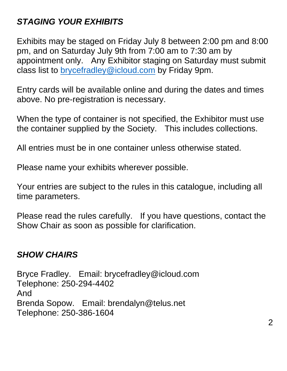## *STAGING YOUR EXHIBITS*

Exhibits may be staged on Friday July 8 between 2:00 pm and 8:00 pm, and on Saturday July 9th from 7:00 am to 7:30 am by appointment only. Any Exhibitor staging on Saturday must submit class list to [brycefradley@icloud.com](mailto:brycefradley@icloud.com) by Friday 9pm.

Entry cards will be available online and during the dates and times above. No pre-registration is necessary.

When the type of container is not specified, the Exhibitor must use the container supplied by the Society. This includes collections.

All entries must be in one container unless otherwise stated.

Please name your exhibits wherever possible.

Your entries are subject to the rules in this catalogue, including all time parameters.

Please read the rules carefully. If you have questions, contact the Show Chair as soon as possible for clarification.

#### *SHOW CHAIRS*

Bryce Fradley. Email: brycefradley@icloud.com Telephone: 250-294-4402 And Brenda Sopow. Email: brendalyn@telus.net Telephone: 250-386-1604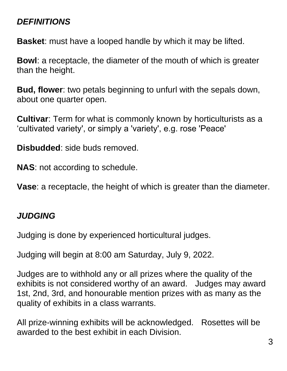## *DEFINITIONS*

**Basket**: must have a looped handle by which it may be lifted.

**Bowl**: a receptacle, the diameter of the mouth of which is greater than the height.

**Bud, flower**: two petals beginning to unfurl with the sepals down, about one quarter open.

**Cultivar**: Term for what is commonly known by horticulturists as a 'cultivated variety', or simply a 'variety', e.g. rose 'Peace'

**Disbudded**: side buds removed.

**NAS**: not according to schedule.

**Vase**: a receptacle, the height of which is greater than the diameter.

#### *JUDGING*

Judging is done by experienced horticultural judges.

Judging will begin at 8:00 am Saturday, July 9, 2022.

Judges are to withhold any or all prizes where the quality of the exhibits is not considered worthy of an award. Judges may award 1st, 2nd, 3rd, and honourable mention prizes with as many as the quality of exhibits in a class warrants.

All prize-winning exhibits will be acknowledged. Rosettes will be awarded to the best exhibit in each Division.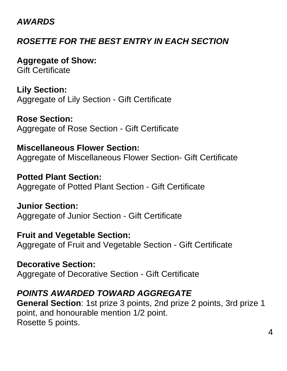#### *AWARDS*

## *ROSETTE FOR THE BEST ENTRY IN EACH SECTION*

**Aggregate of Show:** Gift Certificate

**Lily Section:**  Aggregate of Lily Section - Gift Certificate

**Rose Section:** Aggregate of Rose Section - Gift Certificate

**Miscellaneous Flower Section:** Aggregate of Miscellaneous Flower Section- Gift Certificate

**Potted Plant Section:** Aggregate of Potted Plant Section - Gift Certificate

**Junior Section:** Aggregate of Junior Section - Gift Certificate

**Fruit and Vegetable Section:** Aggregate of Fruit and Vegetable Section - Gift Certificate

**Decorative Section:** Aggregate of Decorative Section - Gift Certificate

#### *POINTS AWARDED TOWARD AGGREGATE*

**General Section**: 1st prize 3 points, 2nd prize 2 points, 3rd prize 1 point, and honourable mention 1/2 point. Rosette 5 points.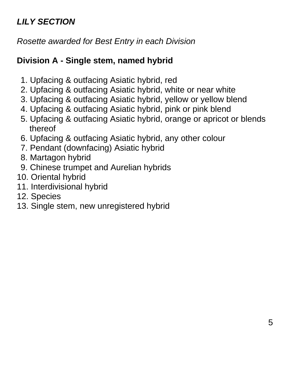## *LILY SECTION*

*Rosette awarded for Best Entry in each Division* 

## **Division A - Single stem, named hybrid**

- 1. Upfacing & outfacing Asiatic hybrid, red
- 2. Upfacing & outfacing Asiatic hybrid, white or near white
- 3. Upfacing & outfacing Asiatic hybrid, yellow or yellow blend
- 4. Upfacing & outfacing Asiatic hybrid, pink or pink blend
- 5. Upfacing & outfacing Asiatic hybrid, orange or apricot or blends thereof
- 6. Upfacing & outfacing Asiatic hybrid, any other colour
- 7. Pendant (downfacing) Asiatic hybrid
- 8. Martagon hybrid
- 9. Chinese trumpet and Aurelian hybrids
- 10. Oriental hybrid
- 11. Interdivisional hybrid
- 12. Species
- 13. Single stem, new unregistered hybrid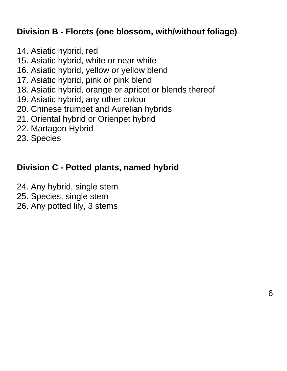#### **Division B - Florets (one blossom, with/without foliage)**

- 14. Asiatic hybrid, red
- 15. Asiatic hybrid, white or near white
- 16. Asiatic hybrid, yellow or yellow blend
- 17. Asiatic hybrid, pink or pink blend
- 18. Asiatic hybrid, orange or apricot or blends thereof
- 19. Asiatic hybrid, any other colour
- 20. Chinese trumpet and Aurelian hybrids
- 21. Oriental hybrid or Orienpet hybrid
- 22. Martagon Hybrid
- 23. Species

#### **Division C - Potted plants, named hybrid**

- 24. Any hybrid, single stem
- 25. Species, single stem
- 26. Any potted lily, 3 stems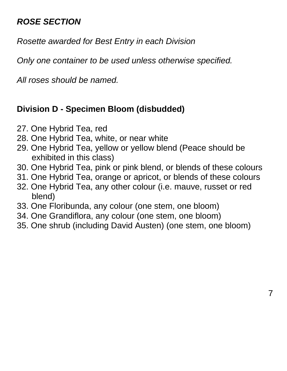## *ROSE SECTION*

*Rosette awarded for Best Entry in each Division*

*Only one container to be used unless otherwise specified.*

*All roses should be named.* 

#### **Division D - Specimen Bloom (disbudded)**

- 27. One Hybrid Tea, red
- 28. One Hybrid Tea, white, or near white
- 29. One Hybrid Tea, yellow or yellow blend (Peace should be exhibited in this class)
- 30. One Hybrid Tea, pink or pink blend, or blends of these colours
- 31. One Hybrid Tea, orange or apricot, or blends of these colours
- 32. One Hybrid Tea, any other colour (i.e. mauve, russet or red blend)
- 33. One Floribunda, any colour (one stem, one bloom)
- 34. One Grandiflora, any colour (one stem, one bloom)
- 35. One shrub (including David Austen) (one stem, one bloom)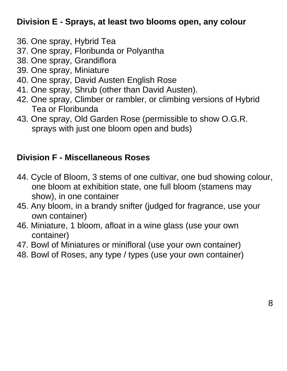## **Division E - Sprays, at least two blooms open, any colour**

- 36. One spray, Hybrid Tea
- 37. One spray, Floribunda or Polyantha
- 38. One spray, Grandiflora
- 39. One spray, Miniature
- 40. One spray, David Austen English Rose
- 41. One spray, Shrub (other than David Austen).
- 42. One spray, Climber or rambler, or climbing versions of Hybrid Tea or Floribunda
- 43. One spray, Old Garden Rose (permissible to show O.G.R. sprays with just one bloom open and buds)

## **Division F - Miscellaneous Roses**

- 44. Cycle of Bloom, 3 stems of one cultivar, one bud showing colour, one bloom at exhibition state, one full bloom (stamens may show), in one container
- 45. Any bloom, in a brandy snifter (judged for fragrance, use your own container)
- 46. Miniature, 1 bloom, afloat in a wine glass (use your own container)
- 47. Bowl of Miniatures or minifloral (use your own container)
- 48. Bowl of Roses, any type / types (use your own container)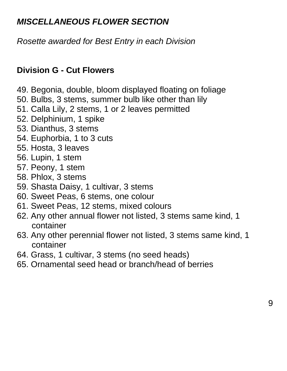## *MISCELLANEOUS FLOWER SECTION*

*Rosette awarded for Best Entry in each Division*

#### **Division G - Cut Flowers**

- 49. Begonia, double, bloom displayed floating on foliage
- 50. Bulbs, 3 stems, summer bulb like other than lily
- 51. Calla Lily, 2 stems, 1 or 2 leaves permitted
- 52. Delphinium, 1 spike
- 53. Dianthus, 3 stems
- 54. Euphorbia, 1 to 3 cuts
- 55. Hosta, 3 leaves
- 56. Lupin, 1 stem
- 57. Peony, 1 stem
- 58. Phlox, 3 stems
- 59. Shasta Daisy, 1 cultivar, 3 stems
- 60. Sweet Peas, 6 stems, one colour
- 61. Sweet Peas, 12 stems, mixed colours
- 62. Any other annual flower not listed, 3 stems same kind, 1 container
- 63. Any other perennial flower not listed, 3 stems same kind, 1 container
- 64. Grass, 1 cultivar, 3 stems (no seed heads)
- 65. Ornamental seed head or branch/head of berries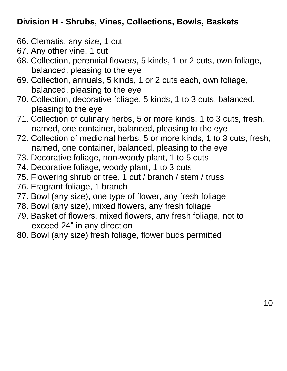## **Division H - Shrubs, Vines, Collections, Bowls, Baskets**

- 66. Clematis, any size, 1 cut
- 67. Any other vine, 1 cut
- 68. Collection, perennial flowers, 5 kinds, 1 or 2 cuts, own foliage, balanced, pleasing to the eye
- 69. Collection, annuals, 5 kinds, 1 or 2 cuts each, own foliage, balanced, pleasing to the eye
- 70. Collection, decorative foliage, 5 kinds, 1 to 3 cuts, balanced, pleasing to the eye
- 71. Collection of culinary herbs, 5 or more kinds, 1 to 3 cuts, fresh, named, one container, balanced, pleasing to the eye
- 72. Collection of medicinal herbs, 5 or more kinds, 1 to 3 cuts, fresh, named, one container, balanced, pleasing to the eye
- 73. Decorative foliage, non-woody plant, 1 to 5 cuts
- 74. Decorative foliage, woody plant, 1 to 3 cuts
- 75. Flowering shrub or tree, 1 cut / branch / stem / truss
- 76. Fragrant foliage, 1 branch
- 77. Bowl (any size), one type of flower, any fresh foliage
- 78. Bowl (any size), mixed flowers, any fresh foliage
- 79. Basket of flowers, mixed flowers, any fresh foliage, not to exceed 24" in any direction
- 80. Bowl (any size) fresh foliage, flower buds permitted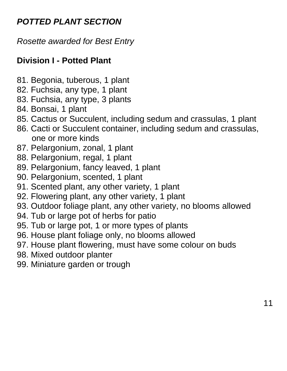## *POTTED PLANT SECTION*

*Rosette awarded for Best Entry* 

## **Division I - Potted Plant**

- 81. Begonia, tuberous, 1 plant
- 82. Fuchsia, any type, 1 plant
- 83. Fuchsia, any type, 3 plants
- 84. Bonsai, 1 plant
- 85. Cactus or Succulent, including sedum and crassulas, 1 plant
- 86. Cacti or Succulent container, including sedum and crassulas, one or more kinds
- 87. Pelargonium, zonal, 1 plant
- 88. Pelargonium, regal, 1 plant
- 89. Pelargonium, fancy leaved, 1 plant
- 90. Pelargonium, scented, 1 plant
- 91. Scented plant, any other variety, 1 plant
- 92. Flowering plant, any other variety, 1 plant
- 93. Outdoor foliage plant, any other variety, no blooms allowed
- 94. Tub or large pot of herbs for patio
- 95. Tub or large pot, 1 or more types of plants
- 96. House plant foliage only, no blooms allowed
- 97. House plant flowering, must have some colour on buds
- 98. Mixed outdoor planter
- 99. Miniature garden or trough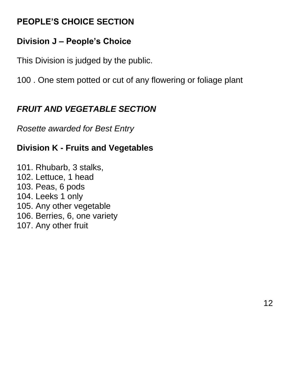## **PEOPLE'S CHOICE SECTION**

## **Division J – People's Choice**

This Division is judged by the public.

100 . One stem potted or cut of any flowering or foliage plant

## *FRUIT AND VEGETABLE SECTION*

*Rosette awarded for Best Entry* 

## **Division K - Fruits and Vegetables**

101. Rhubarb, 3 stalks, 102. Lettuce, 1 head 103. Peas, 6 pods 104. Leeks 1 only 105. Any other vegetable 106. Berries, 6, one variety 107. Any other fruit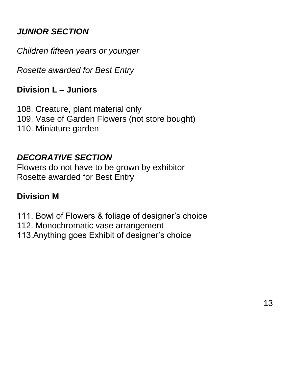## *JUNIOR SECTION*

*Children fifteen years or younger*

*Rosette awarded for Best Entry*

#### **Division L – Juniors**

108. Creature, plant material only 109. Vase of Garden Flowers (not store bought) 110. Miniature garden

#### *DECORATIVE SECTION*

Flowers do not have to be grown by exhibitor Rosette awarded for Best Entry

#### **Division M**

111. Bowl of Flowers & foliage of designer's choice

112. Monochromatic vase arrangement

113.Anything goes Exhibit of designer's choice